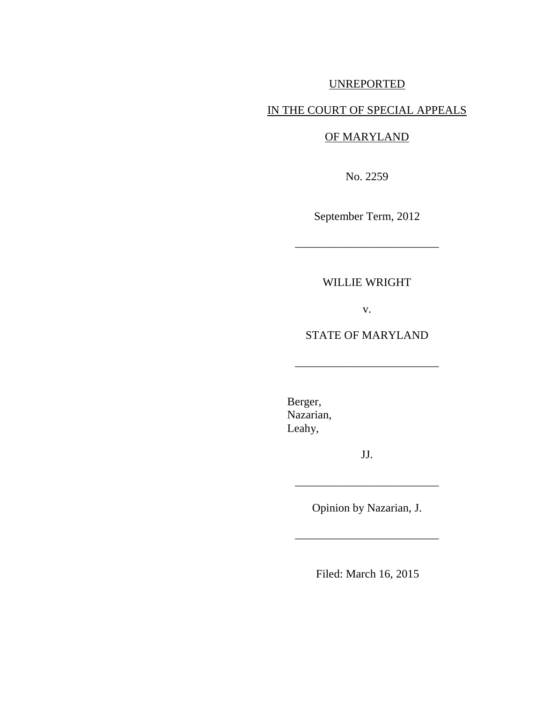# UNREPORTED

# IN THE COURT OF SPECIAL APPEALS

### OF MARYLAND

No. 2259

September Term, 2012

\_\_\_\_\_\_\_\_\_\_\_\_\_\_\_\_\_\_\_\_\_\_\_\_\_

## WILLIE WRIGHT

v.

## STATE OF MARYLAND

\_\_\_\_\_\_\_\_\_\_\_\_\_\_\_\_\_\_\_\_\_\_\_\_\_

Berger, Nazarian, Leahy,

JJ.

\_\_\_\_\_\_\_\_\_\_\_\_\_\_\_\_\_\_\_\_\_\_\_\_\_

Opinion by Nazarian, J.

\_\_\_\_\_\_\_\_\_\_\_\_\_\_\_\_\_\_\_\_\_\_\_\_\_

Filed: March 16, 2015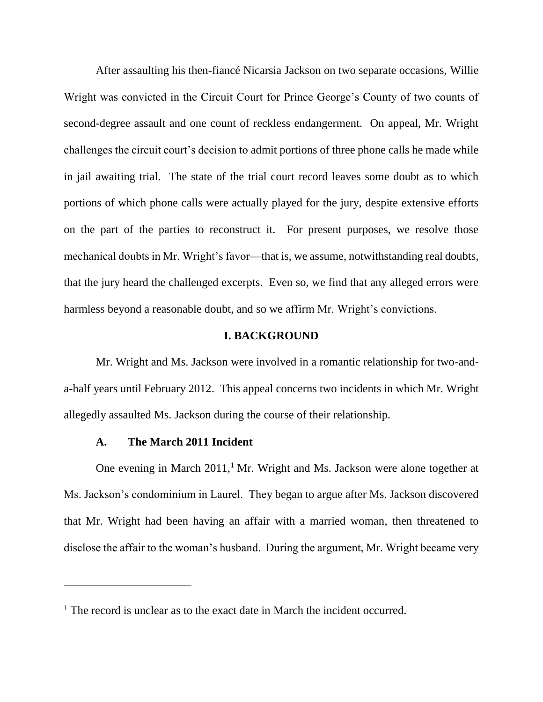After assaulting his then-fiancé Nicarsia Jackson on two separate occasions, Willie Wright was convicted in the Circuit Court for Prince George's County of two counts of second-degree assault and one count of reckless endangerment. On appeal, Mr. Wright challenges the circuit court's decision to admit portions of three phone calls he made while in jail awaiting trial. The state of the trial court record leaves some doubt as to which portions of which phone calls were actually played for the jury, despite extensive efforts on the part of the parties to reconstruct it. For present purposes, we resolve those mechanical doubts in Mr. Wright's favor—that is, we assume, notwithstanding real doubts, that the jury heard the challenged excerpts. Even so, we find that any alleged errors were harmless beyond a reasonable doubt, and so we affirm Mr. Wright's convictions.

### **I. BACKGROUND**

Mr. Wright and Ms. Jackson were involved in a romantic relationship for two-anda-half years until February 2012. This appeal concerns two incidents in which Mr. Wright allegedly assaulted Ms. Jackson during the course of their relationship.

#### **A. The March 2011 Incident**

One evening in March  $2011<sup>1</sup>$  Mr. Wright and Ms. Jackson were alone together at Ms. Jackson's condominium in Laurel. They began to argue after Ms. Jackson discovered that Mr. Wright had been having an affair with a married woman, then threatened to disclose the affair to the woman's husband. During the argument, Mr. Wright became very

 $<sup>1</sup>$  The record is unclear as to the exact date in March the incident occurred.</sup>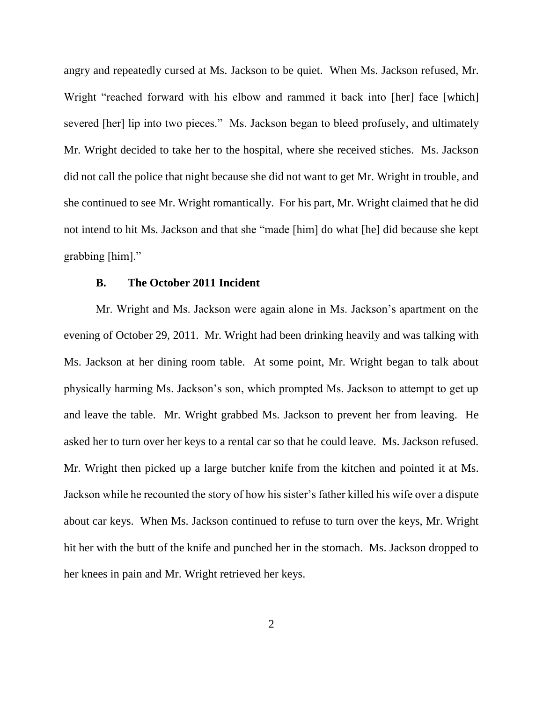angry and repeatedly cursed at Ms. Jackson to be quiet. When Ms. Jackson refused, Mr. Wright "reached forward with his elbow and rammed it back into [her] face [which] severed [her] lip into two pieces." Ms. Jackson began to bleed profusely, and ultimately Mr. Wright decided to take her to the hospital, where she received stiches. Ms. Jackson did not call the police that night because she did not want to get Mr. Wright in trouble, and she continued to see Mr. Wright romantically. For his part, Mr. Wright claimed that he did not intend to hit Ms. Jackson and that she "made [him] do what [he] did because she kept grabbing [him]."

#### **B. The October 2011 Incident**

Mr. Wright and Ms. Jackson were again alone in Ms. Jackson's apartment on the evening of October 29, 2011. Mr. Wright had been drinking heavily and was talking with Ms. Jackson at her dining room table. At some point, Mr. Wright began to talk about physically harming Ms. Jackson's son, which prompted Ms. Jackson to attempt to get up and leave the table. Mr. Wright grabbed Ms. Jackson to prevent her from leaving. He asked her to turn over her keys to a rental car so that he could leave. Ms. Jackson refused. Mr. Wright then picked up a large butcher knife from the kitchen and pointed it at Ms. Jackson while he recounted the story of how his sister's father killed his wife over a dispute about car keys. When Ms. Jackson continued to refuse to turn over the keys, Mr. Wright hit her with the butt of the knife and punched her in the stomach. Ms. Jackson dropped to her knees in pain and Mr. Wright retrieved her keys.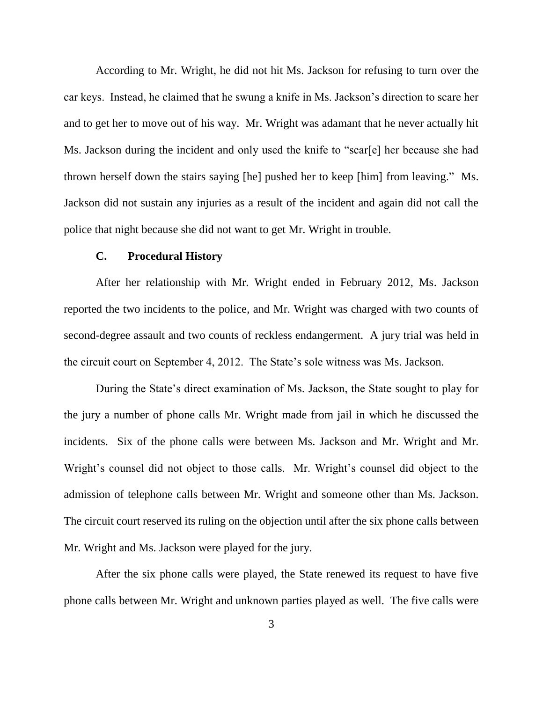According to Mr. Wright, he did not hit Ms. Jackson for refusing to turn over the car keys. Instead, he claimed that he swung a knife in Ms. Jackson's direction to scare her and to get her to move out of his way. Mr. Wright was adamant that he never actually hit Ms. Jackson during the incident and only used the knife to "scar[e] her because she had thrown herself down the stairs saying [he] pushed her to keep [him] from leaving." Ms. Jackson did not sustain any injuries as a result of the incident and again did not call the police that night because she did not want to get Mr. Wright in trouble.

#### **C. Procedural History**

After her relationship with Mr. Wright ended in February 2012, Ms. Jackson reported the two incidents to the police, and Mr. Wright was charged with two counts of second-degree assault and two counts of reckless endangerment. A jury trial was held in the circuit court on September 4, 2012. The State's sole witness was Ms. Jackson.

During the State's direct examination of Ms. Jackson, the State sought to play for the jury a number of phone calls Mr. Wright made from jail in which he discussed the incidents. Six of the phone calls were between Ms. Jackson and Mr. Wright and Mr. Wright's counsel did not object to those calls. Mr. Wright's counsel did object to the admission of telephone calls between Mr. Wright and someone other than Ms. Jackson. The circuit court reserved its ruling on the objection until after the six phone calls between Mr. Wright and Ms. Jackson were played for the jury.

After the six phone calls were played, the State renewed its request to have five phone calls between Mr. Wright and unknown parties played as well. The five calls were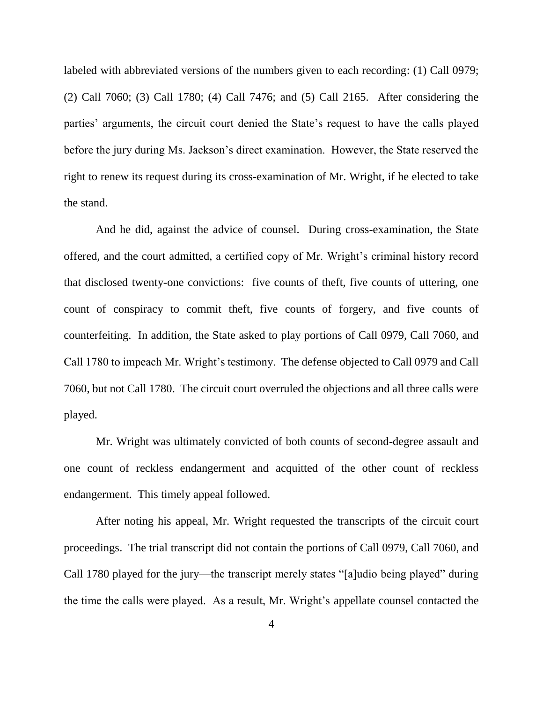labeled with abbreviated versions of the numbers given to each recording: (1) Call 0979; (2) Call 7060; (3) Call 1780; (4) Call 7476; and (5) Call 2165. After considering the parties' arguments, the circuit court denied the State's request to have the calls played before the jury during Ms. Jackson's direct examination. However, the State reserved the right to renew its request during its cross-examination of Mr. Wright, if he elected to take the stand.

And he did, against the advice of counsel. During cross-examination, the State offered, and the court admitted, a certified copy of Mr. Wright's criminal history record that disclosed twenty-one convictions: five counts of theft, five counts of uttering, one count of conspiracy to commit theft, five counts of forgery, and five counts of counterfeiting. In addition, the State asked to play portions of Call 0979, Call 7060, and Call 1780 to impeach Mr. Wright's testimony. The defense objected to Call 0979 and Call 7060, but not Call 1780. The circuit court overruled the objections and all three calls were played.

Mr. Wright was ultimately convicted of both counts of second-degree assault and one count of reckless endangerment and acquitted of the other count of reckless endangerment. This timely appeal followed.

After noting his appeal, Mr. Wright requested the transcripts of the circuit court proceedings. The trial transcript did not contain the portions of Call 0979, Call 7060, and Call 1780 played for the jury—the transcript merely states "[a]udio being played" during the time the calls were played. As a result, Mr. Wright's appellate counsel contacted the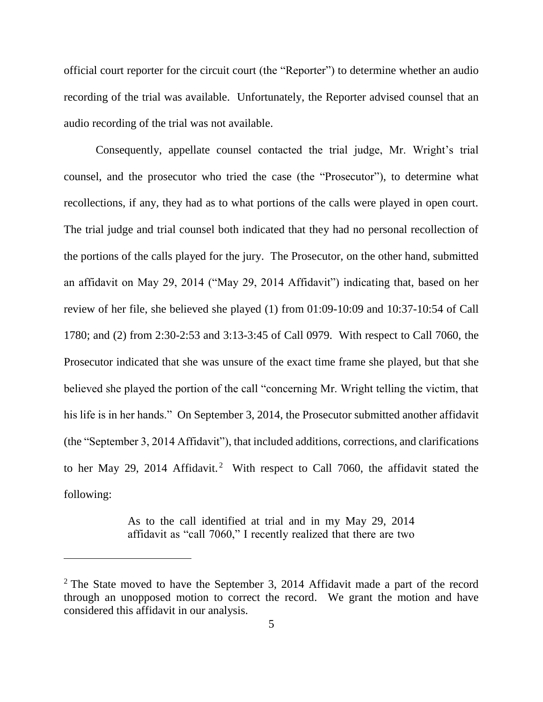official court reporter for the circuit court (the "Reporter") to determine whether an audio recording of the trial was available. Unfortunately, the Reporter advised counsel that an audio recording of the trial was not available.

Consequently, appellate counsel contacted the trial judge, Mr. Wright's trial counsel, and the prosecutor who tried the case (the "Prosecutor"), to determine what recollections, if any, they had as to what portions of the calls were played in open court. The trial judge and trial counsel both indicated that they had no personal recollection of the portions of the calls played for the jury. The Prosecutor, on the other hand, submitted an affidavit on May 29, 2014 ("May 29, 2014 Affidavit") indicating that, based on her review of her file, she believed she played (1) from 01:09-10:09 and 10:37-10:54 of Call 1780; and (2) from 2:30-2:53 and 3:13-3:45 of Call 0979. With respect to Call 7060, the Prosecutor indicated that she was unsure of the exact time frame she played, but that she believed she played the portion of the call "concerning Mr. Wright telling the victim, that his life is in her hands." On September 3, 2014, the Prosecutor submitted another affidavit (the "September 3, 2014 Affidavit"), that included additions, corrections, and clarifications to her May 29, 2014 Affidavit.<sup>2</sup> With respect to Call 7060, the affidavit stated the following:

> As to the call identified at trial and in my May 29, 2014 affidavit as "call 7060," I recently realized that there are two

 $\overline{a}$ 

 $2$  The State moved to have the September 3, 2014 Affidavit made a part of the record through an unopposed motion to correct the record. We grant the motion and have considered this affidavit in our analysis.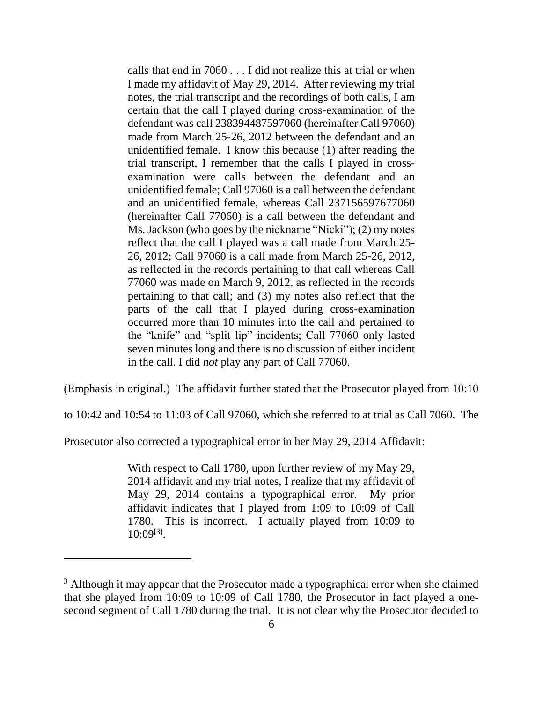calls that end in 7060 . . . I did not realize this at trial or when I made my affidavit of May 29, 2014. After reviewing my trial notes, the trial transcript and the recordings of both calls, I am certain that the call I played during cross-examination of the defendant was call 238394487597060 (hereinafter Call 97060) made from March 25-26, 2012 between the defendant and an unidentified female. I know this because (1) after reading the trial transcript, I remember that the calls I played in crossexamination were calls between the defendant and an unidentified female; Call 97060 is a call between the defendant and an unidentified female, whereas Call 237156597677060 (hereinafter Call 77060) is a call between the defendant and Ms. Jackson (who goes by the nickname "Nicki"); (2) my notes reflect that the call I played was a call made from March 25- 26, 2012; Call 97060 is a call made from March 25-26, 2012, as reflected in the records pertaining to that call whereas Call 77060 was made on March 9, 2012, as reflected in the records pertaining to that call; and (3) my notes also reflect that the parts of the call that I played during cross-examination occurred more than 10 minutes into the call and pertained to the "knife" and "split lip" incidents; Call 77060 only lasted seven minutes long and there is no discussion of either incident in the call. I did *not* play any part of Call 77060.

(Emphasis in original.) The affidavit further stated that the Prosecutor played from 10:10

to 10:42 and 10:54 to 11:03 of Call 97060, which she referred to at trial as Call 7060. The

Prosecutor also corrected a typographical error in her May 29, 2014 Affidavit:

 $\overline{a}$ 

With respect to Call 1780, upon further review of my May 29, 2014 affidavit and my trial notes, I realize that my affidavit of May 29, 2014 contains a typographical error. My prior affidavit indicates that I played from 1:09 to 10:09 of Call 1780. This is incorrect. I actually played from 10:09 to 10:09[3] .

<sup>&</sup>lt;sup>3</sup> Although it may appear that the Prosecutor made a typographical error when she claimed that she played from 10:09 to 10:09 of Call 1780, the Prosecutor in fact played a onesecond segment of Call 1780 during the trial. It is not clear why the Prosecutor decided to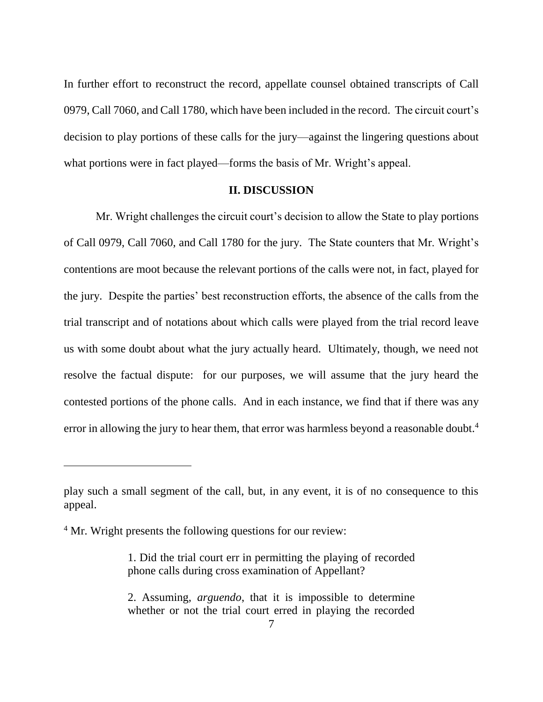In further effort to reconstruct the record, appellate counsel obtained transcripts of Call 0979, Call 7060, and Call 1780, which have been included in the record. The circuit court's decision to play portions of these calls for the jury—against the lingering questions about what portions were in fact played—forms the basis of Mr. Wright's appeal.

#### **II. DISCUSSION**

Mr. Wright challenges the circuit court's decision to allow the State to play portions of Call 0979, Call 7060, and Call 1780 for the jury. The State counters that Mr. Wright's contentions are moot because the relevant portions of the calls were not, in fact, played for the jury. Despite the parties' best reconstruction efforts, the absence of the calls from the trial transcript and of notations about which calls were played from the trial record leave us with some doubt about what the jury actually heard. Ultimately, though, we need not resolve the factual dispute: for our purposes, we will assume that the jury heard the contested portions of the phone calls. And in each instance, we find that if there was any error in allowing the jury to hear them, that error was harmless beyond a reasonable doubt.<sup>4</sup>

 $\overline{a}$ 

play such a small segment of the call, but, in any event, it is of no consequence to this appeal.

<sup>&</sup>lt;sup>4</sup> Mr. Wright presents the following questions for our review:

<sup>1.</sup> Did the trial court err in permitting the playing of recorded phone calls during cross examination of Appellant?

<sup>2.</sup> Assuming, *arguendo*, that it is impossible to determine whether or not the trial court erred in playing the recorded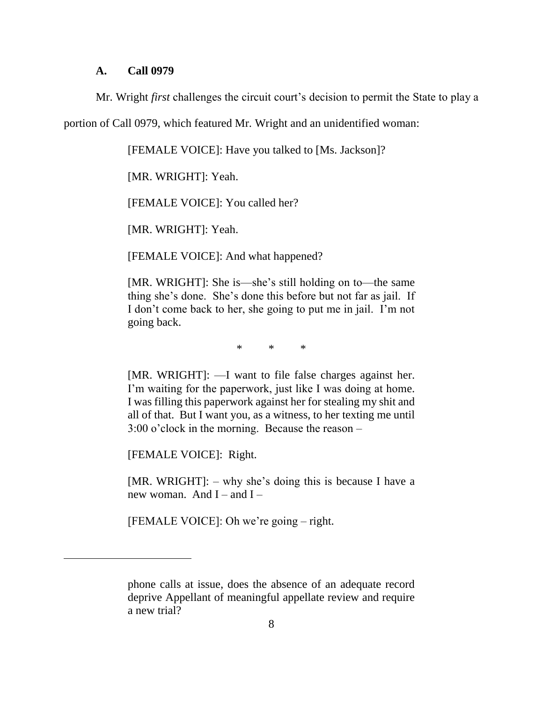#### **A. Call 0979**

Mr. Wright *first* challenges the circuit court's decision to permit the State to play a

portion of Call 0979, which featured Mr. Wright and an unidentified woman:

[FEMALE VOICE]: Have you talked to [Ms. Jackson]?

[MR. WRIGHT]: Yeah.

[FEMALE VOICE]: You called her?

[MR. WRIGHT]: Yeah.

[FEMALE VOICE]: And what happened?

[MR. WRIGHT]: She is—she's still holding on to—the same thing she's done. She's done this before but not far as jail. If I don't come back to her, she going to put me in jail. I'm not going back.

\* \* \*

[MR. WRIGHT]: —I want to file false charges against her. I'm waiting for the paperwork, just like I was doing at home. I was filling this paperwork against her for stealing my shit and all of that. But I want you, as a witness, to her texting me until 3:00 o'clock in the morning. Because the reason –

[FEMALE VOICE]: Right.

 $\overline{a}$ 

[MR. WRIGHT]: – why she's doing this is because I have a new woman. And I – and I –

[FEMALE VOICE]: Oh we're going – right.

phone calls at issue, does the absence of an adequate record deprive Appellant of meaningful appellate review and require a new trial?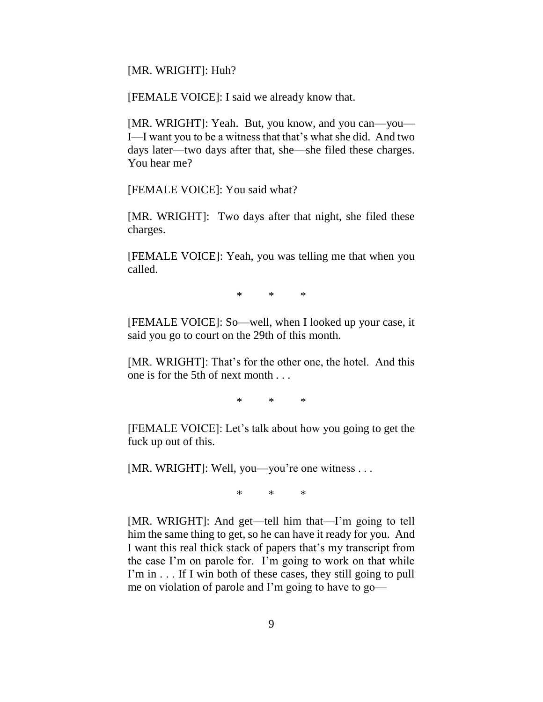[MR. WRIGHT]: Huh?

[FEMALE VOICE]: I said we already know that.

[MR. WRIGHT]: Yeah. But, you know, and you can—you— I—I want you to be a witness that that's what she did. And two days later—two days after that, she—she filed these charges. You hear me?

[FEMALE VOICE]: You said what?

[MR. WRIGHT]: Two days after that night, she filed these charges.

[FEMALE VOICE]: Yeah, you was telling me that when you called.

\* \* \*

[FEMALE VOICE]: So—well, when I looked up your case, it said you go to court on the 29th of this month.

[MR. WRIGHT]: That's for the other one, the hotel. And this one is for the 5th of next month . . .

\* \* \*

[FEMALE VOICE]: Let's talk about how you going to get the fuck up out of this.

[MR. WRIGHT]: Well, you—you're one witness . . .

\* \* \*

[MR. WRIGHT]: And get—tell him that—I'm going to tell him the same thing to get, so he can have it ready for you. And I want this real thick stack of papers that's my transcript from the case I'm on parole for. I'm going to work on that while I'm in . . . If I win both of these cases, they still going to pull me on violation of parole and I'm going to have to go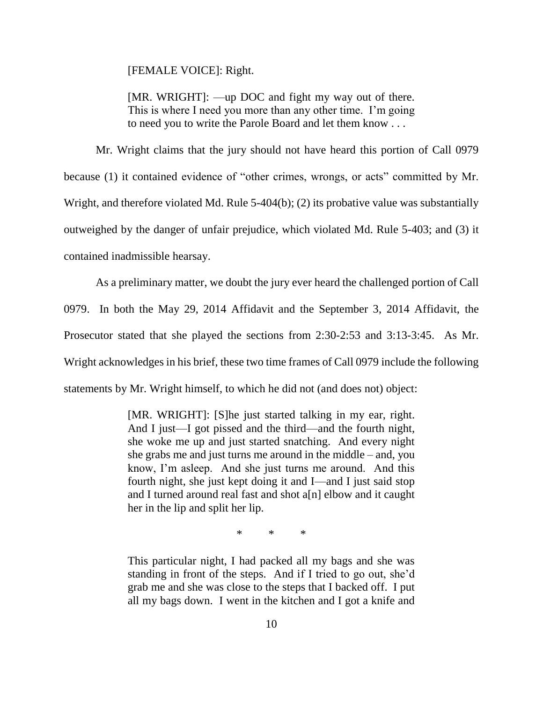[FEMALE VOICE]: Right.

[MR. WRIGHT]: —up DOC and fight my way out of there. This is where I need you more than any other time. I'm going to need you to write the Parole Board and let them know . . .

Mr. Wright claims that the jury should not have heard this portion of Call 0979 because (1) it contained evidence of "other crimes, wrongs, or acts" committed by Mr. Wright, and therefore violated Md. Rule 5-404(b); (2) its probative value was substantially outweighed by the danger of unfair prejudice, which violated Md. Rule 5-403; and (3) it contained inadmissible hearsay.

As a preliminary matter, we doubt the jury ever heard the challenged portion of Call 0979. In both the May 29, 2014 Affidavit and the September 3, 2014 Affidavit, the Prosecutor stated that she played the sections from 2:30-2:53 and 3:13-3:45. As Mr. Wright acknowledges in his brief, these two time frames of Call 0979 include the following statements by Mr. Wright himself, to which he did not (and does not) object:

> [MR. WRIGHT]: [S]he just started talking in my ear, right. And I just—I got pissed and the third—and the fourth night, she woke me up and just started snatching. And every night she grabs me and just turns me around in the middle – and, you know, I'm asleep. And she just turns me around. And this fourth night, she just kept doing it and I—and I just said stop and I turned around real fast and shot a[n] elbow and it caught her in the lip and split her lip.

> > \* \* \*

This particular night, I had packed all my bags and she was standing in front of the steps. And if I tried to go out, she'd grab me and she was close to the steps that I backed off. I put all my bags down. I went in the kitchen and I got a knife and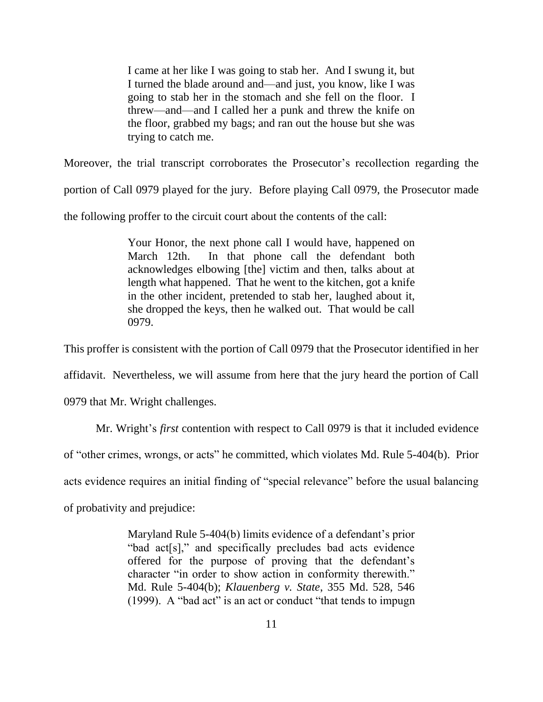I came at her like I was going to stab her. And I swung it, but I turned the blade around and—and just, you know, like I was going to stab her in the stomach and she fell on the floor. I threw—and—and I called her a punk and threw the knife on the floor, grabbed my bags; and ran out the house but she was trying to catch me.

Moreover, the trial transcript corroborates the Prosecutor's recollection regarding the

portion of Call 0979 played for the jury. Before playing Call 0979, the Prosecutor made

the following proffer to the circuit court about the contents of the call:

Your Honor, the next phone call I would have, happened on March 12th. In that phone call the defendant both acknowledges elbowing [the] victim and then, talks about at length what happened. That he went to the kitchen, got a knife in the other incident, pretended to stab her, laughed about it, she dropped the keys, then he walked out. That would be call 0979.

This proffer is consistent with the portion of Call 0979 that the Prosecutor identified in her

affidavit. Nevertheless, we will assume from here that the jury heard the portion of Call

0979 that Mr. Wright challenges.

Mr. Wright's *first* contention with respect to Call 0979 is that it included evidence

of "other crimes, wrongs, or acts" he committed, which violates Md. Rule 5-404(b). Prior

acts evidence requires an initial finding of "special relevance" before the usual balancing

of probativity and prejudice:

Maryland Rule 5-404(b) limits evidence of a defendant's prior "bad act[s]," and specifically precludes bad acts evidence offered for the purpose of proving that the defendant's character "in order to show action in conformity therewith." Md. Rule 5-404(b); *Klauenberg v. State*, 355 Md. 528, 546 (1999). A "bad act" is an act or conduct "that tends to impugn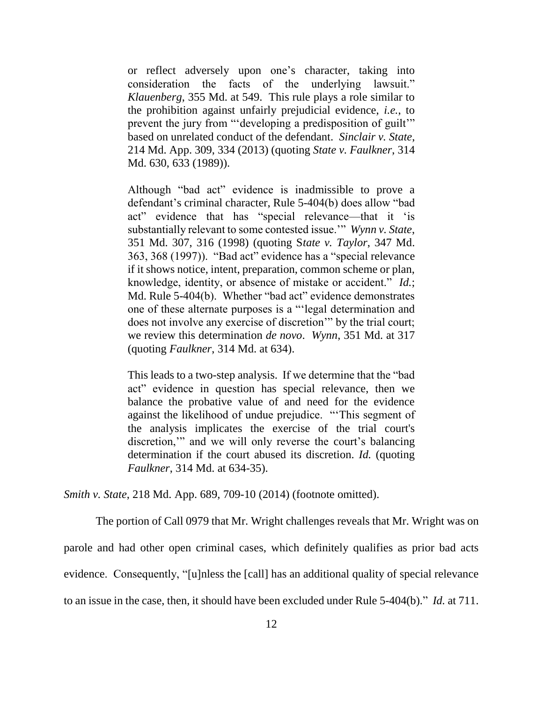or reflect adversely upon one's character, taking into consideration the facts of the underlying lawsuit." *Klauenberg*, 355 Md. at 549. This rule plays a role similar to the prohibition against unfairly prejudicial evidence, *i.e.*, to prevent the jury from "'developing a predisposition of guilt'" based on unrelated conduct of the defendant. *Sinclair v. State*, 214 Md. App. 309, 334 (2013) (quoting *State v. Faulkner*, 314 Md. 630, 633 (1989)).

Although "bad act" evidence is inadmissible to prove a defendant's criminal character, Rule 5-404(b) does allow "bad act" evidence that has "special relevance—that it 'is substantially relevant to some contested issue.'" *Wynn v. State*, 351 Md. 307, 316 (1998) (quoting S*tate v. Taylor*, 347 Md. 363, 368 (1997)). "Bad act" evidence has a "special relevance if it shows notice, intent, preparation, common scheme or plan, knowledge, identity, or absence of mistake or accident." *Id.*; Md. Rule 5-404(b). Whether "bad act" evidence demonstrates one of these alternate purposes is a "'legal determination and does not involve any exercise of discretion'" by the trial court; we review this determination *de novo*. *Wynn*, 351 Md. at 317 (quoting *Faulkner*, 314 Md. at 634).

This leads to a two-step analysis. If we determine that the "bad act" evidence in question has special relevance, then we balance the probative value of and need for the evidence against the likelihood of undue prejudice. "'This segment of the analysis implicates the exercise of the trial court's discretion,'" and we will only reverse the court's balancing determination if the court abused its discretion. *Id.* (quoting *Faulkner*, 314 Md. at 634-35).

*Smith v. State*, 218 Md. App. 689, 709-10 (2014) (footnote omitted).

The portion of Call 0979 that Mr. Wright challenges reveals that Mr. Wright was on parole and had other open criminal cases, which definitely qualifies as prior bad acts evidence. Consequently, "[u]nless the [call] has an additional quality of special relevance to an issue in the case, then, it should have been excluded under Rule 5-404(b)." *Id.* at 711.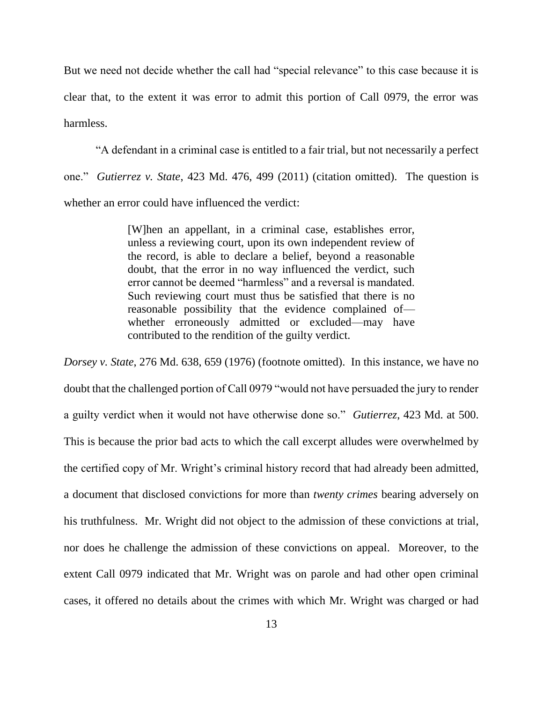But we need not decide whether the call had "special relevance" to this case because it is clear that, to the extent it was error to admit this portion of Call 0979, the error was harmless.

"A defendant in a criminal case is entitled to a fair trial, but not necessarily a perfect one." *Gutierrez v. State*, 423 Md. 476, 499 (2011) (citation omitted). The question is whether an error could have influenced the verdict:

> [W]hen an appellant, in a criminal case, establishes error, unless a reviewing court, upon its own independent review of the record, is able to declare a belief, beyond a reasonable doubt, that the error in no way influenced the verdict, such error cannot be deemed "harmless" and a reversal is mandated. Such reviewing court must thus be satisfied that there is no reasonable possibility that the evidence complained of whether erroneously admitted or excluded—may have contributed to the rendition of the guilty verdict.

*Dorsey v. State*, 276 Md. 638, 659 (1976) (footnote omitted). In this instance, we have no doubt that the challenged portion of Call 0979 "would not have persuaded the jury to render a guilty verdict when it would not have otherwise done so." *Gutierrez*, 423 Md. at 500. This is because the prior bad acts to which the call excerpt alludes were overwhelmed by the certified copy of Mr. Wright's criminal history record that had already been admitted, a document that disclosed convictions for more than *twenty crimes* bearing adversely on his truthfulness. Mr. Wright did not object to the admission of these convictions at trial, nor does he challenge the admission of these convictions on appeal. Moreover, to the extent Call 0979 indicated that Mr. Wright was on parole and had other open criminal cases, it offered no details about the crimes with which Mr. Wright was charged or had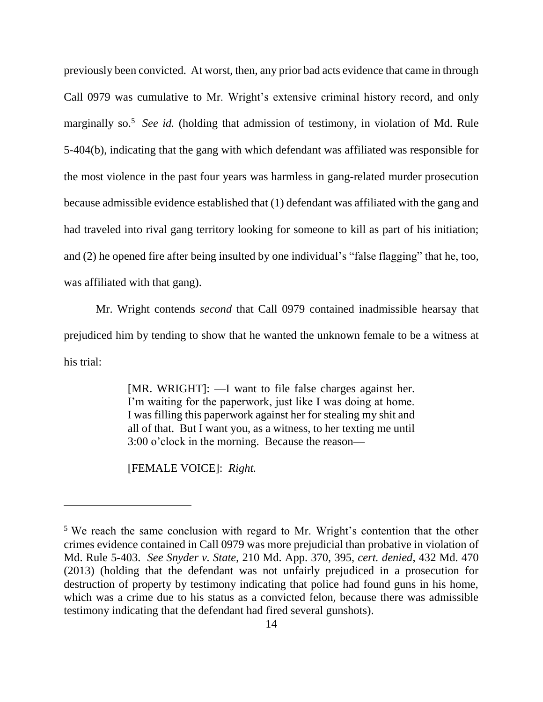previously been convicted. At worst, then, any prior bad acts evidence that came in through Call 0979 was cumulative to Mr. Wright's extensive criminal history record, and only marginally so.<sup>5</sup> See id. (holding that admission of testimony, in violation of Md. Rule 5-404(b), indicating that the gang with which defendant was affiliated was responsible for the most violence in the past four years was harmless in gang-related murder prosecution because admissible evidence established that (1) defendant was affiliated with the gang and had traveled into rival gang territory looking for someone to kill as part of his initiation; and (2) he opened fire after being insulted by one individual's "false flagging" that he, too, was affiliated with that gang).

Mr. Wright contends *second* that Call 0979 contained inadmissible hearsay that prejudiced him by tending to show that he wanted the unknown female to be a witness at his trial:

> [MR. WRIGHT]: —I want to file false charges against her. I'm waiting for the paperwork, just like I was doing at home. I was filling this paperwork against her for stealing my shit and all of that. But I want you, as a witness, to her texting me until 3:00 o'clock in the morning. Because the reason—

[FEMALE VOICE]: *Right.*

<sup>5</sup> We reach the same conclusion with regard to Mr. Wright's contention that the other crimes evidence contained in Call 0979 was more prejudicial than probative in violation of Md. Rule 5-403. *See Snyder v. State*, 210 Md. App. 370, 395, *cert. denied*, 432 Md. 470 (2013) (holding that the defendant was not unfairly prejudiced in a prosecution for destruction of property by testimony indicating that police had found guns in his home, which was a crime due to his status as a convicted felon, because there was admissible testimony indicating that the defendant had fired several gunshots).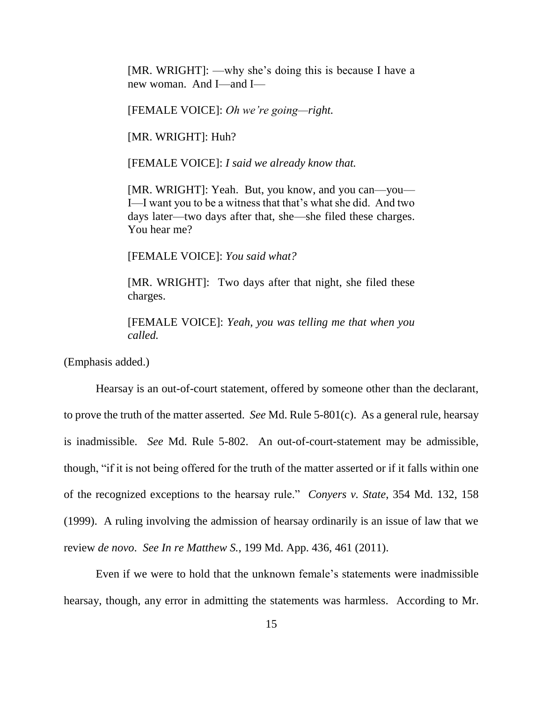[MR. WRIGHT]: —why she's doing this is because I have a new woman. And I—and I—

[FEMALE VOICE]: *Oh we're going—right.*

[MR. WRIGHT]: Huh?

[FEMALE VOICE]: *I said we already know that.*

[MR. WRIGHT]: Yeah. But, you know, and you can—you— I—I want you to be a witness that that's what she did. And two days later—two days after that, she—she filed these charges. You hear me?

[FEMALE VOICE]: *You said what?*

[MR. WRIGHT]: Two days after that night, she filed these charges.

[FEMALE VOICE]: *Yeah, you was telling me that when you called.*

(Emphasis added.)

Hearsay is an out-of-court statement, offered by someone other than the declarant, to prove the truth of the matter asserted. *See* Md. Rule 5-801(c). As a general rule, hearsay is inadmissible. *See* Md. Rule 5-802. An out-of-court-statement may be admissible, though, "if it is not being offered for the truth of the matter asserted or if it falls within one of the recognized exceptions to the hearsay rule." *Conyers v. State*, 354 Md. 132, 158 (1999). A ruling involving the admission of hearsay ordinarily is an issue of law that we review *de novo*. *See In re Matthew S.*, 199 Md. App. 436, 461 (2011).

Even if we were to hold that the unknown female's statements were inadmissible hearsay, though, any error in admitting the statements was harmless. According to Mr.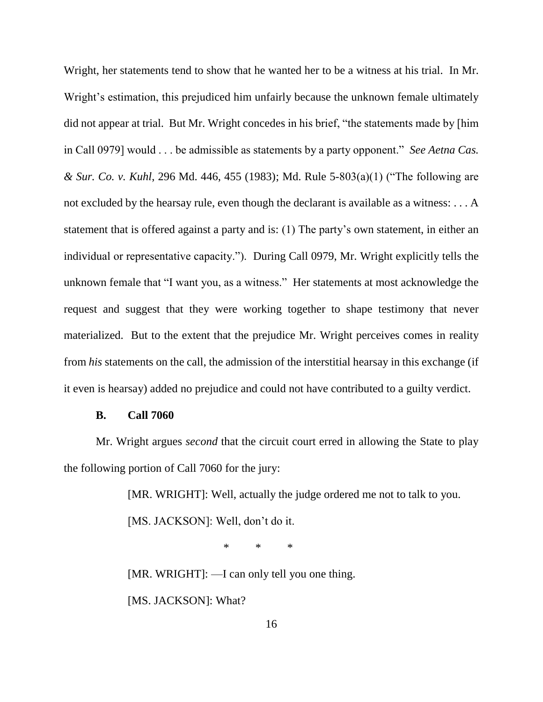Wright, her statements tend to show that he wanted her to be a witness at his trial. In Mr. Wright's estimation, this prejudiced him unfairly because the unknown female ultimately did not appear at trial. But Mr. Wright concedes in his brief, "the statements made by [him in Call 0979] would . . . be admissible as statements by a party opponent." *See Aetna Cas. & Sur. Co. v. Kuhl*, 296 Md. 446, 455 (1983); Md. Rule 5-803(a)(1) ("The following are not excluded by the hearsay rule, even though the declarant is available as a witness: . . . A statement that is offered against a party and is: (1) The party's own statement, in either an individual or representative capacity."). During Call 0979, Mr. Wright explicitly tells the unknown female that "I want you, as a witness." Her statements at most acknowledge the request and suggest that they were working together to shape testimony that never materialized. But to the extent that the prejudice Mr. Wright perceives comes in reality from *his* statements on the call, the admission of the interstitial hearsay in this exchange (if it even is hearsay) added no prejudice and could not have contributed to a guilty verdict.

### **B. Call 7060**

Mr. Wright argues *second* that the circuit court erred in allowing the State to play the following portion of Call 7060 for the jury:

> [MR. WRIGHT]: Well, actually the judge ordered me not to talk to you. [MS. JACKSON]: Well, don't do it.

> > \* \* \*

[MR. WRIGHT]: —I can only tell you one thing. [MS. JACKSON]: What?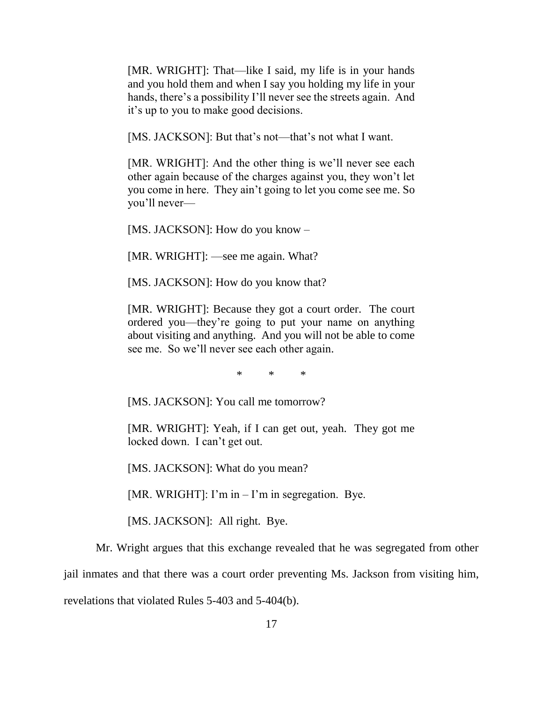[MR. WRIGHT]: That—like I said, my life is in your hands and you hold them and when I say you holding my life in your hands, there's a possibility I'll never see the streets again. And it's up to you to make good decisions.

[MS. JACKSON]: But that's not—that's not what I want.

[MR. WRIGHT]: And the other thing is we'll never see each other again because of the charges against you, they won't let you come in here. They ain't going to let you come see me. So you'll never—

[MS. JACKSON]: How do you know –

[MR. WRIGHT]: —see me again. What?

[MS. JACKSON]: How do you know that?

[MR. WRIGHT]: Because they got a court order. The court ordered you—they're going to put your name on anything about visiting and anything. And you will not be able to come see me. So we'll never see each other again.

\* \* \*

[MS. JACKSON]: You call me tomorrow?

[MR. WRIGHT]: Yeah, if I can get out, yeah. They got me locked down. I can't get out.

[MS. JACKSON]: What do you mean?

[MR. WRIGHT]: I'm in – I'm in segregation. Bye.

[MS. JACKSON]: All right. Bye.

Mr. Wright argues that this exchange revealed that he was segregated from other

jail inmates and that there was a court order preventing Ms. Jackson from visiting him,

revelations that violated Rules 5-403 and 5-404(b).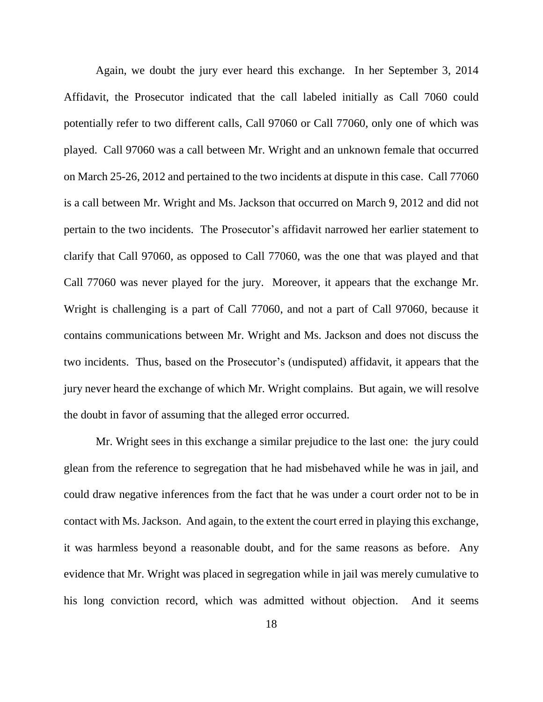Again, we doubt the jury ever heard this exchange. In her September 3, 2014 Affidavit, the Prosecutor indicated that the call labeled initially as Call 7060 could potentially refer to two different calls, Call 97060 or Call 77060, only one of which was played. Call 97060 was a call between Mr. Wright and an unknown female that occurred on March 25-26, 2012 and pertained to the two incidents at dispute in this case. Call 77060 is a call between Mr. Wright and Ms. Jackson that occurred on March 9, 2012 and did not pertain to the two incidents. The Prosecutor's affidavit narrowed her earlier statement to clarify that Call 97060, as opposed to Call 77060, was the one that was played and that Call 77060 was never played for the jury. Moreover, it appears that the exchange Mr. Wright is challenging is a part of Call 77060, and not a part of Call 97060, because it contains communications between Mr. Wright and Ms. Jackson and does not discuss the two incidents. Thus, based on the Prosecutor's (undisputed) affidavit, it appears that the jury never heard the exchange of which Mr. Wright complains. But again, we will resolve the doubt in favor of assuming that the alleged error occurred.

Mr. Wright sees in this exchange a similar prejudice to the last one: the jury could glean from the reference to segregation that he had misbehaved while he was in jail, and could draw negative inferences from the fact that he was under a court order not to be in contact with Ms. Jackson. And again, to the extent the court erred in playing this exchange, it was harmless beyond a reasonable doubt, and for the same reasons as before. Any evidence that Mr. Wright was placed in segregation while in jail was merely cumulative to his long conviction record, which was admitted without objection. And it seems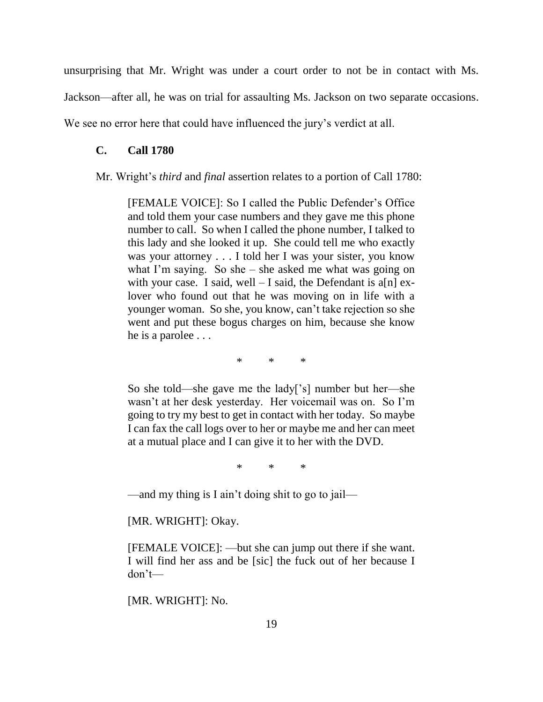unsurprising that Mr. Wright was under a court order to not be in contact with Ms.

Jackson—after all, he was on trial for assaulting Ms. Jackson on two separate occasions.

We see no error here that could have influenced the jury's verdict at all.

### **C. Call 1780**

#### Mr. Wright's *third* and *final* assertion relates to a portion of Call 1780:

[FEMALE VOICE]: So I called the Public Defender's Office and told them your case numbers and they gave me this phone number to call. So when I called the phone number, I talked to this lady and she looked it up. She could tell me who exactly was your attorney . . . I told her I was your sister, you know what I'm saying. So she – she asked me what was going on with your case. I said, well  $-$  I said, the Defendant is a[n] exlover who found out that he was moving on in life with a younger woman. So she, you know, can't take rejection so she went and put these bogus charges on him, because she know he is a parolee . . .

\* \* \*

So she told—she gave me the lady['s] number but her—she wasn't at her desk yesterday. Her voicemail was on. So I'm going to try my best to get in contact with her today. So maybe I can fax the call logs over to her or maybe me and her can meet at a mutual place and I can give it to her with the DVD.

\* \* \*

—and my thing is I ain't doing shit to go to jail—

[MR. WRIGHT]: Okay.

[FEMALE VOICE]: —but she can jump out there if she want. I will find her ass and be [sic] the fuck out of her because I don't—

[MR. WRIGHT]: No.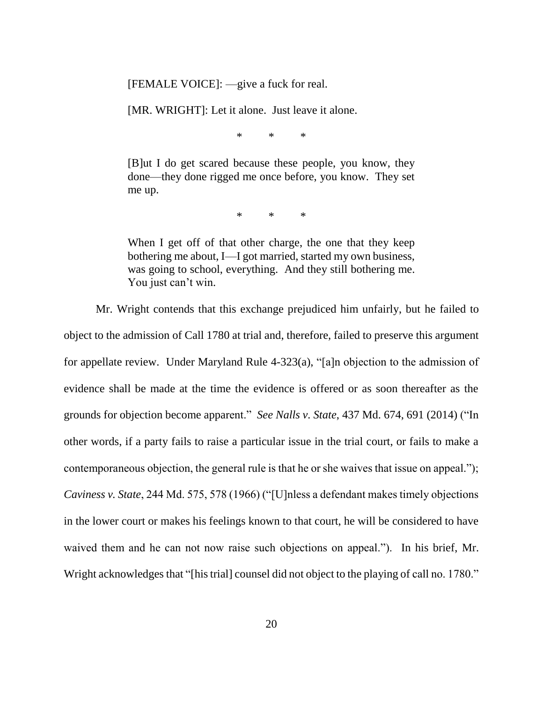[FEMALE VOICE]: —give a fuck for real.

[MR. WRIGHT]: Let it alone. Just leave it alone.

\* \* \*

[B]ut I do get scared because these people, you know, they done—they done rigged me once before, you know. They set me up.

 $*$  \* \*

When I get off of that other charge, the one that they keep bothering me about, I—I got married, started my own business, was going to school, everything. And they still bothering me. You just can't win.

Mr. Wright contends that this exchange prejudiced him unfairly, but he failed to object to the admission of Call 1780 at trial and, therefore, failed to preserve this argument for appellate review. Under Maryland Rule 4-323(a), "[a]n objection to the admission of evidence shall be made at the time the evidence is offered or as soon thereafter as the grounds for objection become apparent." *See Nalls v. State*, 437 Md. 674, 691 (2014) ("In other words, if a party fails to raise a particular issue in the trial court, or fails to make a contemporaneous objection, the general rule is that he or she waives that issue on appeal."); *Caviness v. State*, 244 Md. 575, 578 (1966) ("[U]nless a defendant makes timely objections in the lower court or makes his feelings known to that court, he will be considered to have waived them and he can not now raise such objections on appeal."). In his brief, Mr. Wright acknowledges that "[his trial] counsel did not object to the playing of call no. 1780."